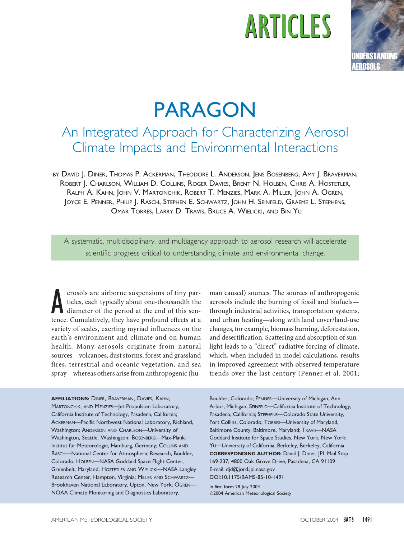# ARTICLES

INDERSTANDI AEROSOLS

## PARAGON

### An Integrated Approach for Characterizing Aerosol Climate Impacts and Environmental Interactions

BY DAVID J. DINER, THOMAS P. ACKERMAN, THEODORE L. ANDERSON, JENS BÖSENBERG, AMY J. BRAVERMAN, ROBERT J. CHARLSON, WILLIAM D. COLLINS, ROGER DAVIES, BRENT N. HOLBEN, CHRIS A. HOSTETLER, RALPH A. KAHN, JOHN V. MARTONCHIK, ROBERT T. MENZIES, MARK A. MILLER, JOHN A. OGREN, JOYCE E. PENNER, PHILIP J. RASCH, STEPHEN E. SCHWARTZ, JOHN H. SEINFELD, GRAEME L. STEPHENS, OMAR TORRES, LARRY D. TRAVIS, BRUCE A. WIELICKI, AND BIN YU

A systematic, multidisciplinary, and multiagency approach to aerosol research will accelerate scientific progress critical to understanding climate and environmental change.

**the contract of the system is a** existence, each typically about one-thousandth the diameter of the period at the end of this sentence. Cumulatively, they have profound effects at a erosols are airborne suspensions of tiny particles, each typically about one-thousandth the diameter of the period at the end of this senvariety of scales, exerting myriad influences on the earth's environment and climate and on human health. Many aerosols originate from natural sources—volcanoes, dust storms, forest and grassland fires, terrestrial and oceanic vegetation, and sea spray—whereas others arise from anthropogenic (hu-

**AFFILIATIONS:** DINER, BRAVERMAN, DAVIES, KAHN, MARTONCHIK, AND MENZIES—Jet Propulsion Laboratory, California Institute of Technology, Pasadena, California; ACKERMAN—Pacific Northwest National Laboratory, Richland, Washington; ANDERSON AND CHARLSON—University of Washington, Seattle, Washington; BÖSENBERG—Max-Plank-Institut für Meteorologie, Hamburg, Germany; COLLINS AND RASCH—National Center for Atmospheric Research, Boulder, Colorado; HOLBEN—NASA Goddard Space Flight Center, Greenbelt, Maryland; HOSTETLER AND WIELICKI—NASA Langley Research Center, Hampton, Virginia; MILLER AND SCHWARTZ-Brookhaven National Laboratory, Upton, New York; OGREN— NOAA Climate Monitoring and Diagnostics Laboratory,

man caused) sources. The sources of anthropogenic aerosols include the burning of fossil and biofuels through industrial activities, transportation systems, and urban heating—along with land cover/land-use changes, for example, biomass burning, deforestation, and desertification. Scattering and absorption of sunlight leads to a "direct" radiative forcing of climate, which, when included in model calculations, results in improved agreement with observed temperature trends over the last century (Penner et al. 2001;

Boulder, Colorado; PENNER—University of Michigan, Ann Arbor, Michigan; SEINFELD—California Institute of Technology, Pasadena, California; STEPHENS—Colorado State University, Fort Collins, Colorado; TORRES—University of Maryland, Baltimore County, Baltimore, Maryland; TRAVIS—NASA Goddard Institute for Space Studies, New York, New York; YU—University of California, Berkeley, Berkeley, California **CORRESPONDING AUTHOR:** David J. Diner, JPL Mail Stop 169-237, 4800 Oak Grove Drive, Pasadena, CA 91109 E-mail: djd@jord.jpl.nasa.gov DOI:10.1175/BAMS-85-10-1491

In final form 28 July 2004 ©2004 American Meteorological Society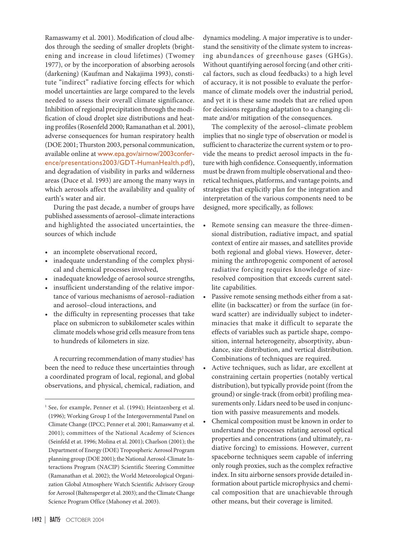Ramaswamy et al. 2001). Modification of cloud albedos through the seeding of smaller droplets (brightening and increase in cloud lifetimes) (Twomey 1977), or by the incorporation of absorbing aerosols (darkening) (Kaufman and Nakajima 1993), constitute "indirect" radiative forcing effects for which model uncertainties are large compared to the levels needed to assess their overall climate significance. Inhibition of regional precipitation through the modification of cloud droplet size distributions and heating profiles (Rosenfeld 2000; Ramanathan et al. 2001), adverse consequences for human respiratory health (DOE 2001; Thurston 2003, personal communication, available online at www.epa.gov/airnow/2003conference/presentations2003/GDT-HumanHealth.pdf), and degradation of visibility in parks and wilderness areas (Duce et al. 1993) are among the many ways in which aerosols affect the availability and quality of earth's water and air.

During the past decade, a number of groups have published assessments of aerosol–climate interactions and highlighted the associated uncertainties, the sources of which include

- an incomplete observational record,
- inadequate understanding of the complex physical and chemical processes involved,
- inadequate knowledge of aerosol source strengths,
- insufficient understanding of the relative importance of various mechanisms of aerosol–radiation and aerosol–cloud interactions, and
- the difficulty in representing processes that take place on submicron to subkilometer scales within climate models whose grid cells measure from tens to hundreds of kilometers in size.

A recurring recommendation of many studies<sup>1</sup> has been the need to reduce these uncertainties through a coordinated program of local, regional, and global observations, and physical, chemical, radiation, and

dynamics modeling. A major imperative is to understand the sensitivity of the climate system to increasing abundances of greenhouse gases (GHGs). Without quantifying aerosol forcing (and other critical factors, such as cloud feedbacks) to a high level of accuracy, it is not possible to evaluate the performance of climate models over the industrial period, and yet it is these same models that are relied upon for decisions regarding adaptation to a changing climate and/or mitigation of the consequences.

The complexity of the aerosol–climate problem implies that no single type of observation or model is sufficient to characterize the current system or to provide the means to predict aerosol impacts in the future with high confidence. Consequently, information must be drawn from multiple observational and theoretical techniques, platforms, and vantage points, and strategies that explicitly plan for the integration and interpretation of the various components need to be designed, more specifically, as follows:

- Remote sensing can measure the three-dimensional distribution, radiative impact, and spatial context of entire air masses, and satellites provide both regional and global views. However, determining the anthropogenic component of aerosol radiative forcing requires knowledge of sizeresolved composition that exceeds current satellite capabilities.
- Passive remote sensing methods either from a satellite (in backscatter) or from the surface (in forward scatter) are individually subject to indeterminacies that make it difficult to separate the effects of variables such as particle shape, composition, internal heterogeneity, absorptivity, abundance, size distribution, and vertical distribution. Combinations of techniques are required.
- Active techniques, such as lidar, are excellent at constraining certain properties (notably vertical distribution), but typically provide point (from the ground) or single-track (from orbit) profiling measurements only. Lidars need to be used in conjunction with passive measurements and models.
- Chemical composition must be known in order to understand the processes relating aerosol optical properties and concentrations (and ultimately, radiative forcing) to emissions. However, current spaceborne techniques seem capable of inferring only rough proxies, such as the complex refractive index. In situ airborne sensors provide detailed information about particle microphysics and chemical composition that are unachievable through other means, but their coverage is limited.

<sup>&</sup>lt;sup>1</sup> See, for example, Penner et al. (1994); Heintzenberg et al. (1996); Working Group I of the Intergovernmental Panel on Climate Change (IPCC; Penner et al. 2001; Ramaswamy et al. 2001); committees of the National Academy of Sciences (Seinfeld et at. 1996; Molina et al. 2001); Charlson (2001); the Department of Energy (DOE) Tropospheric Aerosol Program planning group (DOE 2001); the National Aerosol-Climate Interactions Program (NACIP) Scientific Steering Committee (Ramanathan et al. 2002); the World Meteorological Organization Global Atmosphere Watch Scientific Advisory Group for Aerosol (Baltensperger et al. 2003); and the Climate Change Science Program Office (Mahoney et al. 2003).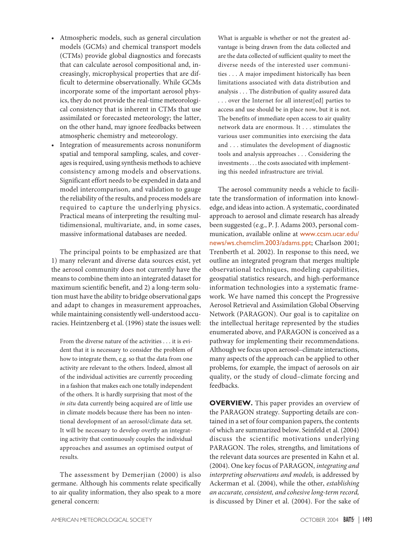- Atmospheric models, such as general circulation models (GCMs) and chemical transport models (CTMs) provide global diagnostics and forecasts that can calculate aerosol compositional and, increasingly, microphysical properties that are difficult to determine observationally. While GCMs incorporate some of the important aerosol physics, they do not provide the real-time meteorological consistency that is inherent in CTMs that use assimilated or forecasted meteorology; the latter, on the other hand, may ignore feedbacks between atmospheric chemistry and meteorology.
- Integration of measurements across nonuniform spatial and temporal sampling, scales, and coverages is required, using synthesis methods to achieve consistency among models and observations. Significant effort needs to be expended in data and model intercomparison, and validation to gauge the reliability of the results, and process models are required to capture the underlying physics. Practical means of interpreting the resulting multidimensional, multivariate, and, in some cases, massive informational databases are needed.

The principal points to be emphasized are that 1) many relevant and diverse data sources exist, yet the aerosol community does not currently have the means to combine them into an integrated dataset for maximum scientific benefit, and 2) a long-term solution must have the ability to bridge observational gaps and adapt to changes in measurement approaches, while maintaining consistently well-understood accuracies. Heintzenberg et al. (1996) state the issues well:

From the diverse nature of the activities . . . it is evident that it is necessary to consider the problem of how to integrate them, e.g. so that the data from one activity are relevant to the others. Indeed, almost all of the individual activities are currently proceeding in a fashion that makes each one totally independent of the others. It is hardly surprising that most of the *in situ* data currently being acquired are of little use in climate models because there has been no intentional development of an aerosol/climate data set. It will be necessary to develop overtly an integrating activity that continuously couples the individual approaches and assumes an optimised output of results.

The assessment by Demerjian (2000) is also germane. Although his comments relate specifically to air quality information, they also speak to a more general concern:

What is arguable is whether or not the greatest advantage is being drawn from the data collected and are the data collected of sufficient quality to meet the diverse needs of the interested user communities . . . A major impediment historically has been limitations associated with data distribution and analysis . . . The distribution of quality assured data . . . over the Internet for all interest[ed] parties to access and use should be in place now, but it is not. The benefits of immediate open access to air quality network data are enormous. It . . . stimulates the various user communities into exercising the data and . . . stimulates the development of diagnostic tools and analysis approaches . . . Considering the investments . . . the costs associated with implementing this needed infrastructure are trivial.

The aerosol community needs a vehicle to facilitate the transformation of information into knowledge, and ideas into action. A systematic, coordinated approach to aerosol and climate research has already been suggested (e.g., P. J. Adams 2003, personal communication, available online at www.ccsm.ucar.edu/ news/ws.chemclim.2003/adams.ppt; Charlson 2001; Trenberth et al. 2002). In response to this need, we outline an integrated program that merges multiple observational techniques, modeling capabilities, geospatial statistics research, and high-performance information technologies into a systematic framework. We have named this concept the Progressive Aerosol Retrieval and Assimilation Global Observing Network (PARAGON). Our goal is to capitalize on the intellectual heritage represented by the studies enumerated above, and PARAGON is conceived as a pathway for implementing their recommendations. Although we focus upon aerosol–climate interactions, many aspects of the approach can be applied to other problems, for example, the impact of aerosols on air quality, or the study of cloud–climate forcing and feedbacks.

**OVERVIEW.** This paper provides an overview of the PARAGON strategy. Supporting details are contained in a set of four companion papers, the contents of which are summarized below. Seinfeld et al. (2004) discuss the scientific motivations underlying PARAGON. The roles, strengths, and limitations of the relevant data sources are presented in Kahn et al. (2004). One key focus of PARAGON, *integrating and interpreting observations and models,* is addressed by Ackerman et al. (2004), while the other, *establishing an accurate, consistent, and cohesive long-term record,* is discussed by Diner et al. (2004). For the sake of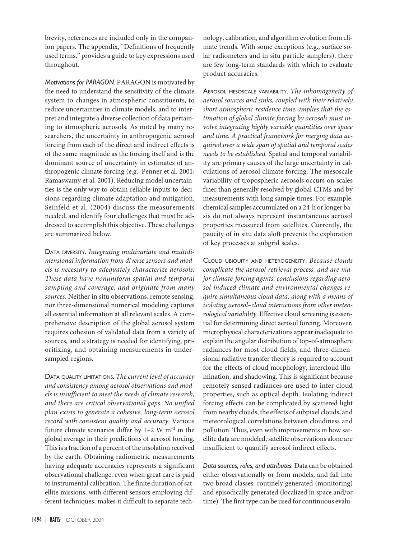brevity, references are included only in the companion papers. The appendix, "Definitions of frequently used terms," provides a guide to key expressions used throughout.

*Motivations for PARAGON.* PARAGON is motivated by the need to understand the sensitivity of the climate system to changes in atmospheric constituents, to reduce uncertainties in climate models, and to interpret and integrate a diverse collection of data pertaining to atmospheric aerosols. As noted by many researchers, the uncertainty in anthropogenic aerosol forcing from each of the direct and indirect effects is of the same magnitude as the forcing itself and is the dominant source of uncertainty in estimates of anthropogenic climate forcing (e.g., Penner et al. 2001; Ramaswamy et al. 2001). Reducing model uncertainties is the only way to obtain reliable inputs to decisions regarding climate adaptation and mitigation. Seinfeld et al. (2004) discuss the measurements needed, and identify four challenges that must be addressed to accomplish this objective. These challenges are summarized below.

DATA DIVERSITY. *Integrating multivariate and multidimensional information from diverse sensors and models is necessary to adequately characterize aerosols. These data have nonuniform spatial and temporal sampling and coverage, and originate from many sources.* Neither in situ observations, remote sensing, nor three-dimensional numerical modeling captures all essential information at all relevant scales. A comprehensive description of the global aerosol system requires cohesion of validated data from a variety of sources, and a strategy is needed for identifying, prioritizing, and obtaining measurements in undersampled regions.

DATA QUALITY LIMITATIONS. *The current level of accuracy and consistency among aerosol observations and models is insufficient to meet the needs of climate research, and there are critical observational gaps. No unified plan exists to generate a cohesive, long-term aerosol record with consistent quality and accuracy.* Various future climate scenarios differ by  $1-2 \text{ W m}^{-2}$  in the global average in their predictions of aerosol forcing. This is a fraction of a percent of the insolation received by the earth. Obtaining radiometric measurements having adequate accuracies represents a significant observational challenge, even when great care is paid to instrumental calibration. The finite duration of satellite missions, with different sensors employing different techniques, makes it difficult to separate technology, calibration, and algorithm evolution from climate trends. With some exceptions (e.g., surface solar radiometers and in situ particle samplers), there are few long-term standards with which to evaluate product accuracies.

AEROSOL MESOSCALE VARIABILITY. *The inhomogeneity of aerosol sources and sinks, coupled with their relatively short atmospheric residence time, implies that the estimation of global climate forcing by aerosols must involve integrating highly variable quantities over space and time. A practical framework for merging data acquired over a wide span of spatial and temporal scales needs to be established.* Spatial and temporal variability are primary causes of the large uncertainty in calculations of aerosol climate forcing. The mesoscale variability of tropospheric aerosols occurs on scales finer than generally resolved by global CTMs and by measurements with long sample times. For example, chemical samples accumulated on a 24-h or longer basis do not always represent instantaneous aerosol properties measured from satellites. Currently, the paucity of in situ data aloft prevents the exploration of key processes at subgrid scales.

CLOUD UBIQUITY AND HETEROGENEITY. *Because clouds complicate the aerosol retrieval process, and are major climate-forcing agents, conclusions regarding aerosol-induced climate and environmental changes require simultaneous cloud data, along with a means of isolating aerosol–cloud interactions from other meteorological variability.* Effective cloud screening is essential for determining direct aerosol forcing. Moreover, microphysical characterizations appear inadequate to explain the angular distribution of top-of-atmosphere radiances for most cloud fields, and three-dimensional radiative transfer theory is required to account for the effects of cloud morphology, intercloud illumination, and shadowing. This is significant because remotely sensed radiances are used to infer cloud properties, such as optical depth. Isolating indirect forcing effects can be complicated by scattered light from nearby clouds, the effects of subpixel clouds, and meteorological correlations between cloudiness and pollution. Thus, even with improvements in how satellite data are modeled, satellite observations alone are insufficient to quantify aerosol indirect effects.

*Data sources, roles, and attributes.* Data can be obtained either observationally or from models, and fall into two broad classes: routinely generated (monitoring) and episodically generated (localized in space and/or time). The first type can be used for continuous evalu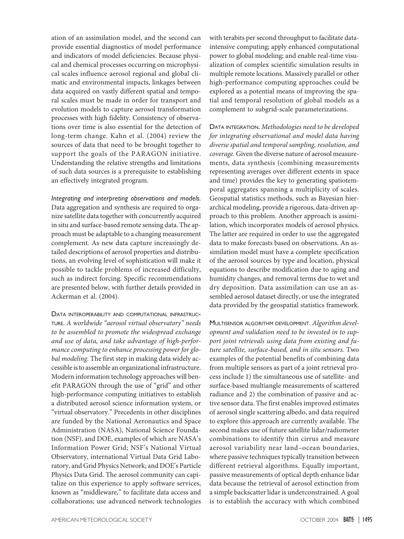ation of an assimilation model, and the second can provide essential diagnostics of model performance and indicators of model deficiencies. Because physical and chemical processes occurring on microphysical scales influence aerosol regional and global climatic and environmental impacts, linkages between data acquired on vastly different spatial and temporal scales must be made in order for transport and evolution models to capture aerosol transformation processes with high fidelity. Consistency of observations over time is also essential for the detection of long-term change. Kahn et al. (2004) review the sources of data that need to be brought together to support the goals of the PARAGON initiative. Understanding the relative strengths and limitations of such data sources is a prerequisite to establishing an effectively integrated program.

*Integrating and interpreting observations and models.* Data aggregation and synthesis are required to organize satellite data together with concurrently acquired in situ and surface-based remote sensing data. The approach must be adaptable to a changing measurement complement. As new data capture increasingly detailed descriptions of aerosol properties and distributions, an evolving level of sophistication will make it possible to tackle problems of increased difficulty, such as indirect forcing. Specific recommendations are presented below, with further details provided in Ackerman et al. (2004).

DATA INTEROPERABILITY AND COMPUTATIONAL INFRASTRUC-TURE. *A worldwide "aerosol virtual observatory" needs to be assembled to promote the widespread exchange and use of data, and take advantage of high-performance computing to enhance processing power for global modeling.* The first step in making data widely accessible is to assemble an organizational infrastructure. Modern information technology approaches will benefit PARAGON through the use of "grid" and other high-performance computing initiatives to establish a distributed aerosol science information system, or "virtual observatory." Precedents in other disciplines are funded by the National Aeronautics and Space Administration (NASA), National Science Foundation (NSF), and DOE, examples of which are NASA's Information Power Grid; NSF's National Virtual Observatory, international Virtual Data Grid Laboratory, and Grid Physics Network; and DOE's Particle Physics Data Grid. The aerosol community can capitalize on this experience to apply software services, known as "middleware," to facilitate data access and collaborations; use advanced network technologies

with terabits per second throughput to facilitate dataintensive computing; apply enhanced computational power to global modeling; and enable real-time visualization of complex scientific simulation results in multiple remote locations. Massively parallel or other high-performance computing approaches could be explored as a potential means of improving the spatial and temporal resolution of global models as a complement to subgrid-scale parameterizations.

DATA INTEGRATION. *Methodologies need to be developed for integrating observational and model data having diverse spatial and temporal sampling, resolution, and coverage.* Given the diverse nature of aerosol measurements, data synthesis (combining measurements representing averages over different extents in space and time) provides the key to generating spatiotemporal aggregates spanning a multiplicity of scales. Geospatial statistics methods, such as Bayesian hierarchical modeling, provide a rigorous, data-driven approach to this problem. Another approach is assimilation, which incorporates models of aerosol physics. The latter are required in order to use the aggregated data to make forecasts based on observations. An assimilation model must have a complete specification of the aerosol sources by type and location, physical equations to describe modification due to aging and humidity changes, and removal terms due to wet and dry deposition. Data assimilation can use an assembled aerosol dataset directly, or use the integrated data provided by the geospatial statistics framework.

MULTISENSOR ALGORITHM DEVELOPMENT. *Algorithm development and validation need to be invested in to support joint retrievals using data from existing and future satellite, surface-based, and in situ sensors.* Two examples of the potential benefits of combining data from multiple sensors as part of a joint retrieval process include 1) the simultaneous use of satellite- and surface-based multiangle measurements of scattered radiance and 2) the combination of passive and active sensor data. The first enables improved estimates of aerosol single scattering albedo, and data required to explore this approach are currently available. The second makes use of future satellite lidar/radiometer combinations to identify thin cirrus and measure aerosol variability near land–ocean boundaries, where passive techniques typically transition between different retrieval algorithms. Equally important, passive measurements of optical depth enhance lidar data because the retrieval of aerosol extinction from a simple backscatter lidar is underconstrained. A goal is to establish the accuracy with which combined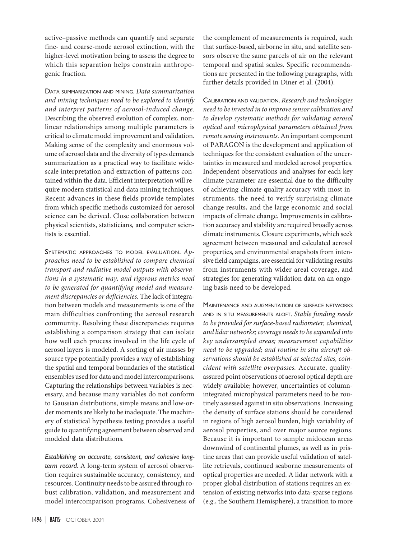active–passive methods can quantify and separate fine- and coarse-mode aerosol extinction, with the higher-level motivation being to assess the degree to which this separation helps constrain anthropogenic fraction.

DATA SUMMARIZATION AND MINING. *Data summarization and mining techniques need to be explored to identify and interpret patterns of aerosol-induced change.* Describing the observed evolution of complex, nonlinear relationships among multiple parameters is critical to climate model improvement and validation. Making sense of the complexity and enormous volume of aerosol data and the diversity of types demands summarization as a practical way to facilitate widescale interpretation and extraction of patterns contained within the data. Efficient interpretation will require modern statistical and data mining techniques. Recent advances in these fields provide templates from which specific methods customized for aerosol science can be derived. Close collaboration between physical scientists, statisticians, and computer scientists is essential.

SYSTEMATIC APPROACHES TO MODEL EVALUATION. *Approaches need to be established to compare chemical transport and radiative model outputs with observations in a systematic way, and rigorous metrics need to be generated for quantifying model and measurement discrepancies or deficiencies.* The lack of integration between models and measurements is one of the main difficulties confronting the aerosol research community. Resolving these discrepancies requires establishing a comparison strategy that can isolate how well each process involved in the life cycle of aerosol layers is modeled. A sorting of air masses by source type potentially provides a way of establishing the spatial and temporal boundaries of the statistical ensembles used for data and model intercomparisons. Capturing the relationships between variables is necessary, and because many variables do not conform to Gaussian distributions, simple means and low-order moments are likely to be inadequate. The machinery of statistical hypothesis testing provides a useful guide to quantifying agreement between observed and modeled data distributions.

*Establishing an accurate, consistent, and cohesive longterm record.* A long-term system of aerosol observation requires sustainable accuracy, consistency, and resources. Continuity needs to be assured through robust calibration, validation, and measurement and model intercomparison programs. Cohesiveness of the complement of measurements is required, such that surface-based, airborne in situ, and satellite sensors observe the same parcels of air on the relevant temporal and spatial scales. Specific recommendations are presented in the following paragraphs, with further details provided in Diner et al. (2004).

CALIBRATION AND VALIDATION. *Research and technologies need to be invested in to improve sensor calibration and to develop systematic methods for validating aerosol optical and microphysical parameters obtained from remote sensing instruments.* An important component of PARAGON is the development and application of techniques for the consistent evaluation of the uncertainties in measured and modeled aerosol properties. Independent observations and analyses for each key climate parameter are essential due to the difficulty of achieving climate quality accuracy with most instruments, the need to verify surprising climate change results, and the large economic and social impacts of climate change. Improvements in calibration accuracy and stability are required broadly across climate instruments. Closure experiments, which seek agreement between measured and calculated aerosol properties, and environmental snapshots from intensive field campaigns, are essential for validating results from instruments with wider areal coverage, and strategies for generating validation data on an ongoing basis need to be developed.

MAINTENANCE AND AUGMENTATION OF SURFACE NETWORKS AND IN SITU MEASUREMENTS ALOFT. *Stable funding needs to be provided for surface-based radiometer, chemical, and lidar networks; coverage needs to be expanded into key undersampled areas; measurement capabilities need to be upgraded; and routine in situ aircraft observations should be established at selected sites, coincident with satellite overpasses.* Accurate, qualityassured point observations of aerosol optical depth are widely available; however, uncertainties of columnintegrated microphysical parameters need to be routinely assessed against in situ observations. Increasing the density of surface stations should be considered in regions of high aerosol burden, high variability of aerosol properties, and over major source regions. Because it is important to sample midocean areas downwind of continental plumes, as well as in pristine areas that can provide useful validation of satellite retrievals, continued seaborne measurements of optical properties are needed. A lidar network with a proper global distribution of stations requires an extension of existing networks into data-sparse regions (e.g., the Southern Hemisphere), a transition to more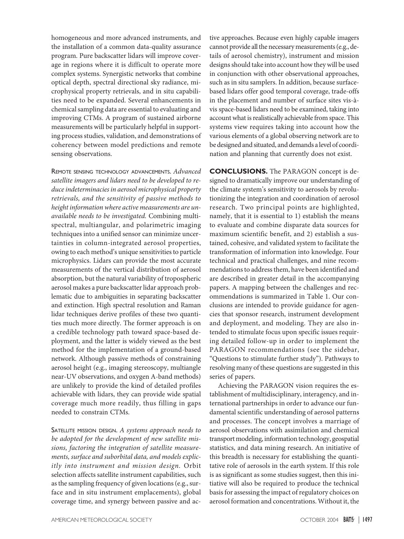homogeneous and more advanced instruments, and the installation of a common data-quality assurance program. Pure backscatter lidars will improve coverage in regions where it is difficult to operate more complex systems. Synergistic networks that combine optical depth, spectral directional sky radiance, microphysical property retrievals, and in situ capabilities need to be expanded. Several enhancements in chemical sampling data are essential to evaluating and improving CTMs. A program of sustained airborne measurements will be particularly helpful in supporting process studies, validation, and demonstrations of coherency between model predictions and remote sensing observations.

REMOTE SENSING TECHNOLOGY ADVANCEMENTS. *Advanced satellite imagers and lidars need to be developed to reduce indeterminacies in aerosol microphysical property retrievals, and the sensitivity of passive methods to height information where active measurements are unavailable needs to be investigated.* Combining multispectral, multiangular, and polarimetric imaging techniques into a unified sensor can minimize uncertainties in column-integrated aerosol properties, owing to each method's unique sensitivities to particle microphysics. Lidars can provide the most accurate measurements of the vertical distribution of aerosol absorption, but the natural variability of tropospheric aerosol makes a pure backscatter lidar approach problematic due to ambiguities in separating backscatter and extinction. High spectral resolution and Raman lidar techniques derive profiles of these two quantities much more directly. The former approach is on a credible technology path toward space-based deployment, and the latter is widely viewed as the best method for the implementation of a ground-based network. Although passive methods of constraining aerosol height (e.g., imaging stereoscopy, multiangle near-UV observations, and oxygen A-band methods) are unlikely to provide the kind of detailed profiles achievable with lidars, they can provide wide spatial coverage much more readily, thus filling in gaps needed to constrain CTMs.

SATELLITE MISSION DESIGN. *A systems approach needs to be adopted for the development of new satellite missions, factoring the integration of satellite measurements, surface and suborbital data, and models explicitly into instrument and mission design.* Orbit selection affects satellite instrument capabilities, such as the sampling frequency of given locations (e.g., surface and in situ instrument emplacements), global coverage time, and synergy between passive and ac-

tive approaches. Because even highly capable imagers cannot provide all the necessary measurements (e.g., details of aerosol chemistry), instrument and mission designs should take into account how they will be used in conjunction with other observational approaches, such as in situ samplers. In addition, because surfacebased lidars offer good temporal coverage, trade-offs in the placement and number of surface sites vis-àvis space-based lidars need to be examined, taking into account what is realistically achievable from space. This systems view requires taking into account how the various elements of a global observing network are to be designed and situated, and demands a level of coordination and planning that currently does not exist.

**CONCLUSIONS.** The PARAGON concept is designed to dramatically improve our understanding of the climate system's sensitivity to aerosols by revolutionizing the integration and coordination of aerosol research. Two principal points are highlighted, namely, that it is essential to 1) establish the means to evaluate and combine disparate data sources for maximum scientific benefit, and 2) establish a sustained, cohesive, and validated system to facilitate the transformation of information into knowledge. Four technical and practical challenges, and nine recommendations to address them, have been identified and are described in greater detail in the accompanying papers. A mapping between the challenges and recommendations is summarized in Table 1. Our conclusions are intended to provide guidance for agencies that sponsor research, instrument development and deployment, and modeling. They are also intended to stimulate focus upon specific issues requiring detailed follow-up in order to implement the PARAGON recommendations (see the sidebar, "Questions to stimulate further study"). Pathways to resolving many of these questions are suggested in this series of papers.

Achieving the PARAGON vision requires the establishment of multidisciplinary, interagency, and international partnerships in order to advance our fundamental scientific understanding of aerosol patterns and processes. The concept involves a marriage of aerosol observations with assimilation and chemical transport modeling, information technology, geospatial statistics, and data mining research. An initiative of this breadth is necessary for establishing the quantitative role of aerosols in the earth system. If this role is as significant as some studies suggest, then this initiative will also be required to produce the technical basis for assessing the impact of regulatory choices on aerosol formation and concentrations. Without it, the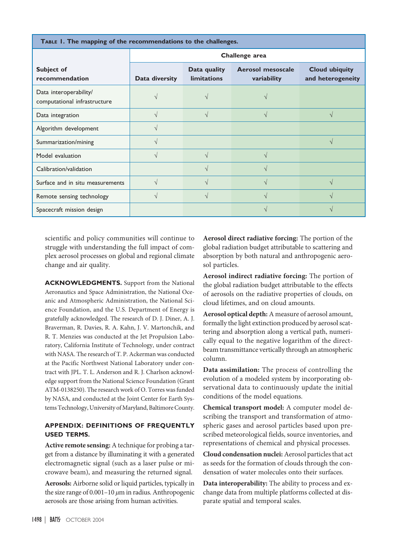**TABLE 1. The mapping of the recommendations to the challenges.**

|                                                        | Challenge area |                                    |                                  |                                            |
|--------------------------------------------------------|----------------|------------------------------------|----------------------------------|--------------------------------------------|
| Subject of<br>recommendation                           | Data diversity | Data quality<br><b>limitations</b> | Aerosol mesoscale<br>variability | <b>Cloud ubiquity</b><br>and heterogeneity |
| Data interoperability/<br>computational infrastructure |                |                                    |                                  |                                            |
| Data integration                                       |                |                                    |                                  |                                            |
| Algorithm development                                  |                |                                    |                                  |                                            |
| Summarization/mining                                   |                |                                    |                                  |                                            |
| Model evaluation                                       |                |                                    |                                  |                                            |
| Calibration/validation                                 |                |                                    |                                  |                                            |
| Surface and in situ measurements                       |                |                                    |                                  |                                            |
| Remote sensing technology                              |                |                                    |                                  |                                            |
| Spacecraft mission design                              |                |                                    |                                  |                                            |

scientific and policy communities will continue to struggle with understanding the full impact of complex aerosol processes on global and regional climate change and air quality.

**ACKNOWLEDGMENTS.** Support from the National Aeronautics and Space Administration, the National Oceanic and Atmospheric Administration, the National Science Foundation, and the U.S. Department of Energy is gratefully acknowledged. The research of D. J. Diner, A. J. Braverman, R. Davies, R. A. Kahn, J. V. Martonchik, and R. T. Menzies was conducted at the Jet Propulsion Laboratory, California Institute of Technology, under contract with NASA. The research of T. P. Ackerman was conducted at the Pacific Northwest National Laboratory under contract with JPL. T. L. Anderson and R. J. Charlson acknowledge support from the National Science Foundation (Grant ATM-0138250). The research work of O. Torres was funded by NASA, and conducted at the Joint Center for Earth Systems Technology, University of Maryland, Baltimore County.

#### **APPENDIX: DEFINITIONS OF FREQUENTLY USED TERMS.**

**Active remote sensing:** A technique for probing a target from a distance by illuminating it with a generated electromagnetic signal (such as a laser pulse or microwave beam), and measuring the returned signal.

**Aerosols:** Airborne solid or liquid particles, typically in the size range of 0.001-10 μm in radius. Anthropogenic aerosols are those arising from human activities.

**Aerosol direct radiative forcing:** The portion of the global radiation budget attributable to scattering and absorption by both natural and anthropogenic aerosol particles.

**Aerosol indirect radiative forcing:** The portion of the global radiation budget attributable to the effects of aerosols on the radiative properties of clouds, on cloud lifetimes, and on cloud amounts.

**Aerosol optical depth:** A measure of aerosol amount, formally the light extinction produced by aerosol scattering and absorption along a vertical path, numerically equal to the negative logarithm of the directbeam transmittance vertically through an atmospheric column.

**Data assimilation:** The process of controlling the evolution of a modeled system by incorporating observational data to continuously update the initial conditions of the model equations.

**Chemical transport model:** A computer model describing the transport and transformation of atmospheric gases and aerosol particles based upon prescribed meteorological fields, source inventories, and representations of chemical and physical processes.

**Cloud condensation nuclei:** Aerosol particles that act as seeds for the formation of clouds through the condensation of water molecules onto their surfaces.

**Data interoperability:** The ability to process and exchange data from multiple platforms collected at disparate spatial and temporal scales.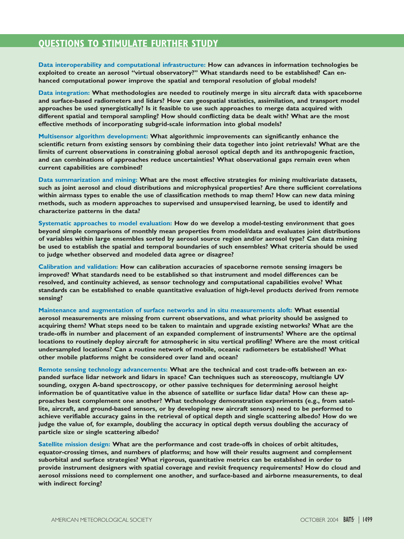#### **QUESTIONS TO STIMULATE FURTHER STUDY**

**Data interoperability and computational infrastructure: How can advances in information technologies be exploited to create an aerosol "virtual observatory?" What standards need to be established? Can enhanced computational power improve the spatial and temporal resolution of global models?**

**Data integration: What methodologies are needed to routinely merge in situ aircraft data with spaceborne and surface-based radiometers and lidars? How can geospatial statistics, assimilation, and transport model approaches be used synergistically? Is it feasible to use such approaches to merge data acquired with different spatial and temporal sampling? How should conflicting data be dealt with? What are the most effective methods of incorporating subgrid-scale information into global models?**

**Multisensor algorithm development: What algorithmic improvements can significantly enhance the scientific return from existing sensors by combining their data together into joint retrievals? What are the limits of current observations in constraining global aerosol optical depth and its anthropogenic fraction, and can combinations of approaches reduce uncertainties? What observational gaps remain even when current capabilities are combined?**

**Data summarization and mining: What are the most effective strategies for mining multivariate datasets, such as joint aerosol and cloud distributions and microphysical properties? Are there sufficient correlations within airmass types to enable the use of classification methods to map them? How can new data mining methods, such as modern approaches to supervised and unsupervised learning, be used to identify and characterize patterns in the data?**

**Systematic approaches to model evaluation: How do we develop a model-testing environment that goes beyond simple comparisons of monthly mean properties from model/data and evaluates joint distributions of variables within large ensembles sorted by aerosol source region and/or aerosol type? Can data mining be used to establish the spatial and temporal boundaries of such ensembles? What criteria should be used to judge whether observed and modeled data agree or disagree?**

**Calibration and validation: How can calibration accuracies of spaceborne remote sensing imagers be improved? What standards need to be established so that instrument and model differences can be resolved, and continuity achieved, as sensor technology and computational capabilities evolve? What standards can be established to enable quantitative evaluation of high-level products derived from remote sensing?**

**Maintenance and augmentation of surface networks and in situ measurements aloft: What essential aerosol measurements are missing from current observations, and what priority should be assigned to acquiring them? What steps need to be taken to maintain and upgrade existing networks? What are the trade-offs in number and placement of an expanded complement of instruments? Where are the optimal locations to routinely deploy aircraft for atmospheric in situ vertical profiling? Where are the most critical undersampled locations? Can a routine network of mobile, oceanic radiometers be established? What other mobile platforms might be considered over land and ocean?**

**Remote sensing technology advancements: What are the technical and cost trade-offs between an expanded surface lidar network and lidars in space? Can techniques such as stereoscopy, multiangle UV sounding, oxygen A-band spectroscopy, or other passive techniques for determining aerosol height information be of quantitative value in the absence of satellite or surface lidar data? How can these approaches best complement one another? What technology demonstration experiments (e.g., from satellite, aircraft, and ground-based sensors, or by developing new aircraft sensors) need to be performed to achieve verifiable accuracy gains in the retrieval of optical depth and single scattering albedo? How do we judge the value of, for example, doubling the accuracy in optical depth versus doubling the accuracy of particle size or single scattering albedo?**

**Satellite mission design: What are the performance and cost trade-offs in choices of orbit altitudes, equator-crossing times, and numbers of platforms; and how will their results augment and complement suborbital and surface strategies? What rigorous, quantitative metrics can be established in order to provide instrument designers with spatial coverage and revisit frequency requirements? How do cloud and aerosol missions need to complement one another, and surface-based and airborne measurements, to deal with indirect forcing?**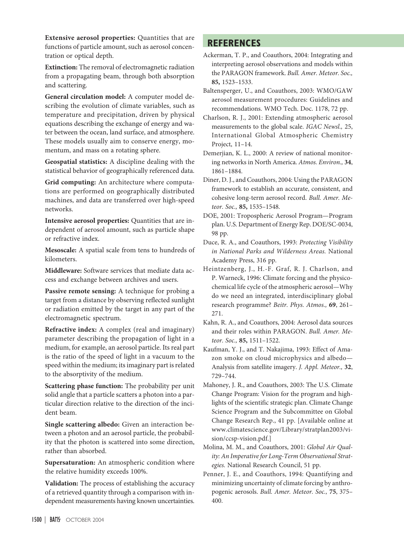**Extensive aerosol properties:** Quantities that are functions of particle amount, such as aerosol concentration or optical depth.

**Extinction:** The removal of electromagnetic radiation from a propagating beam, through both absorption and scattering.

**General circulation model:** A computer model describing the evolution of climate variables, such as temperature and precipitation, driven by physical equations describing the exchange of energy and water between the ocean, land surface, and atmosphere. These models usually aim to conserve energy, momentum, and mass on a rotating sphere.

**Geospatial statistics:** A discipline dealing with the statistical behavior of geographically referenced data.

**Grid computing:** An architecture where computations are performed on geographically distributed machines, and data are transferred over high-speed networks.

**Intensive aerosol properties:** Quantities that are independent of aerosol amount, such as particle shape or refractive index.

**Mesoscale:** A spatial scale from tens to hundreds of kilometers.

**Middleware:** Software services that mediate data access and exchange between archives and users.

**Passive remote sensing:** A technique for probing a target from a distance by observing reflected sunlight or radiation emitted by the target in any part of the electromagnetic spectrum.

**Refractive index:** A complex (real and imaginary) parameter describing the propagation of light in a medium, for example, an aerosol particle. Its real part is the ratio of the speed of light in a vacuum to the speed within the medium; its imaginary part is related to the absorptivity of the medium.

**Scattering phase function:** The probability per unit solid angle that a particle scatters a photon into a particular direction relative to the direction of the incident beam.

**Single scattering albedo:** Given an interaction between a photon and an aerosol particle, the probability that the photon is scattered into some direction, rather than absorbed.

**Supersaturation:** An atmospheric condition where the relative humidity exceeds 100%.

**Validation:** The process of establishing the accuracy of a retrieved quantity through a comparison with independent measurements having known uncertainties.

#### **REFERENCES**

- Ackerman, T. P., and Coauthors, 2004: Integrating and interpreting aerosol observations and models within the PARAGON framework. *Bull. Amer. Meteor. Soc.,* **85,** 1523–1533.
- Baltensperger, U., and Coauthors, 2003: WMO/GAW aerosol measurement procedures: Guidelines and recommendations. WMO Tech. Doc. 1178, 72 pp.
- Charlson, R. J., 2001: Extending atmospheric aerosol measurements to the global scale. *IGAC Newsl.,* 25, International Global Atmospheric Chemistry Project, 11–14.
- Demerjian, K. L., 2000: A review of national monitoring networks in North America. *Atmos. Environ.,* **34**, 1861–1884.
- Diner, D. J., and Coauthors, 2004: Using the PARAGON framework to establish an accurate, consistent, and cohesive long-term aerosol record. *Bull. Amer. Meteor. Soc.,* **85,** 1535–1548.
- DOE, 2001: Tropospheric Aerosol Program—Program plan. U.S. Department of Energy Rep. DOE/SC-0034, 98 pp.
- Duce, R. A., and Coauthors, 1993: *Protecting Visibility in National Parks and Wilderness Areas.* National Academy Press, 316 pp.
- Heintzenberg, J., H.-F. Graf, R. J. Charlson, and P. Warneck, 1996: Climate forcing and the physicochemical life cycle of the atmospheric aerosol—Why do we need an integrated, interdisciplinary global research programme? *Beitr. Phys. Atmos.,* **69**, 261– 271.
- Kahn, R. A., and Coauthors, 2004: Aerosol data sources and their roles within PARAGON. *Bull. Amer. Meteor. Soc.,* **85,** 1511–1522.
- Kaufman, Y. J., and T. Nakajima, 1993: Effect of Amazon smoke on cloud microphysics and albedo— Analysis from satellite imagery. *J. Appl. Meteor.,* **32**, 729–744.
- Mahoney, J. R., and Coauthors, 2003: The U.S. Climate Change Program: Vision for the program and highlights of the scientific strategic plan. Climate Change Science Program and the Subcommittee on Global Change Research Rep., 41 pp. [Available online at www.climatescience.gov/Library/stratplan2003/vision/ccsp-vision.pdf.]
- Molina, M. M., and Coauthors, 2001: *Global Air Quality: An Imperative for Long-Term Observational Strategies.* National Research Council, 51 pp.
- Penner, J. E., and Coauthors, 1994: Quantifying and minimizing uncertainty of climate forcing by anthropogenic aerosols. *Bull. Amer. Meteor. Soc.,* **75**, 375– 400.